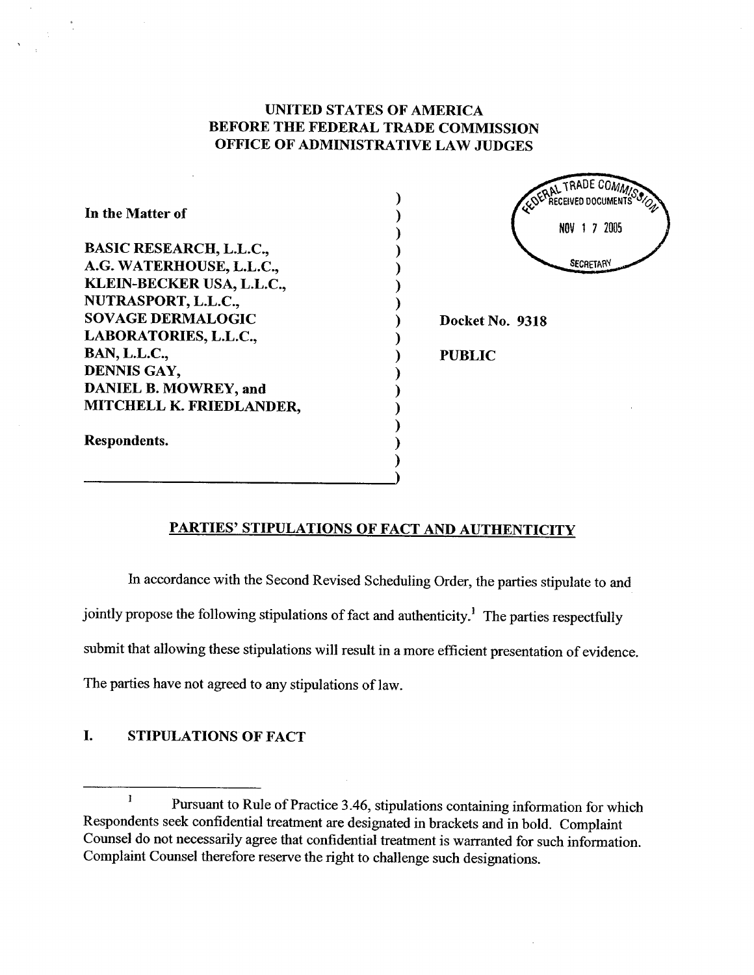# UNITED STATES OF AMERICA BEFORE THE FEDERAL TRADE COMMISSION OFFICE OF ADMINISTRATIVE LAW JUDGES

) ) ) ) ) ) ) ) ) ) ) ) ) ) ) ) )

| In the Matter of               |
|--------------------------------|
| <b>BASIC RESEARCH, L.L.C.,</b> |
| A.G. WATERHOUSE, L.L.C.,       |
| KLEIN-BECKER USA, L.L.C.,      |
| NUTRASPORT, L.L.C.,            |
| <b>SOVAGE DERMALOGIC</b>       |
| LABORATORIES, L.L.C.,          |
| <b>BAN, L.L.C.,</b>            |
| DENNIS GAY,                    |
| DANIEL B. MOWREY, and          |
| MITCHELL K. FRIEDLANDER,       |
| Respondents.                   |

 $\frac{1}{2}$ 

SERAL TRADE COMM RECEIVED DOCUMENTS NOV 1 7 2005 **SECRETARY** Docket No. 9318 PUBLIC

# PARTIES' STIPULATIONS OF FACT AND AUTHENTICITY

In accordance with the Second Revised Scheduling Order, the paries stipulate to and jointly propose the following stipulations of fact and authenticity.<sup>1</sup> The parties respectfully submit that allowing these stipulations will result in a more efficient presentation of evidence. The parties have not agreed to any stipulations of law.

# I. STIPULATIONS OF FACT

 $\mathbf{l}$ Pursuant to Rule of Practice 3.46, stipulations containing information for which Respondents seek confidential treatment are designated in brackets and in bold. Complaint Counsel do not necessarily agree that confidential treatment is warranted for such information. Complaint Counsel therefore reserve the right to challenge such designations.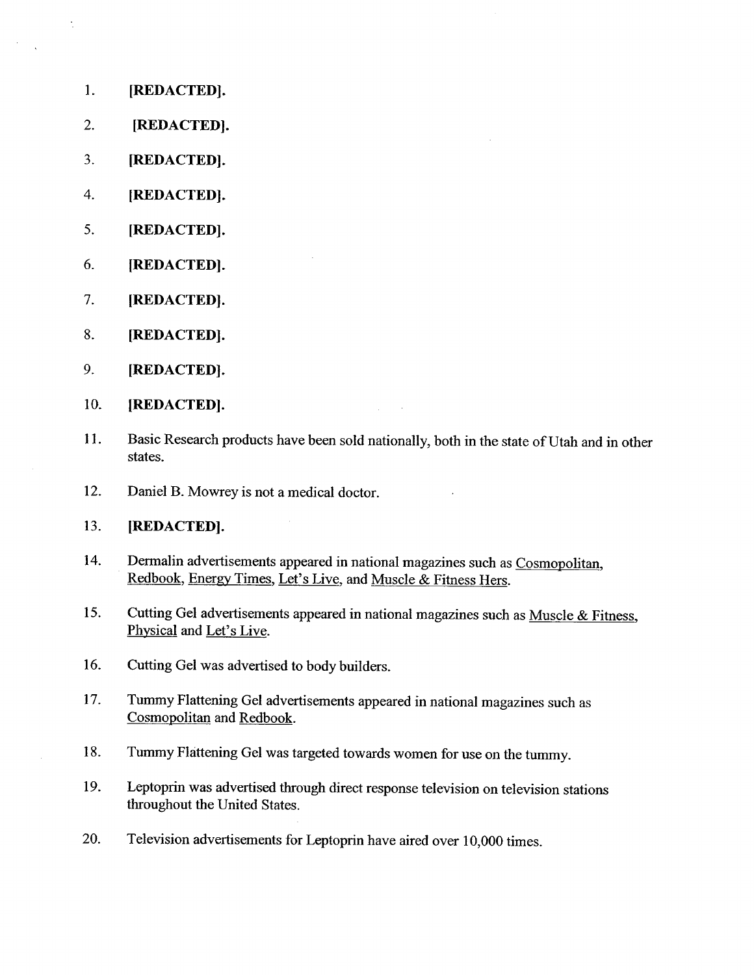1. (REDACTED).

 $\ddot{\phantom{a}}$ 

- 2. (REDACTED).
- 3. (REDACTED).
- 4. (REDACTED).
- 5. (REDACTED).
- 6. (REDACTED).
- 7. (REDACTED).
- 8. (REDACTED).
- 9. (REDACTED).

### 10. (REDACTED).

- 11. Basic Research products have been sold nationally, both in the state of Utah and in other states.
- 12. Daniel B. Mowrey is not a medical doctor.

### 13. (REDACTED).

- 14. Dermalin advertisements appeared in national magazines such as Cosmopolitan, Redbook, Energy Times, Let's Live, and Muscle & Fitness Hers.
- 15. Cutting Gel advertisements appeared in national magazines such as Muscle & Fitness, Physical and Let's Live.
- 16. Cutting Gel was advertised to body builders.
- 17. Tummy Flattening Gel advertisements appeared in national magazines such as Cosmopolitan and Redbook.
- 18. Tummy Flàttening Gel was targeted towards women for use on the tummy.
- 19. Leptoprin was advertised though direct response television on television stations throughout the United States.
- 20. Television advertisements for Leptoprin have aired over 10,000 times.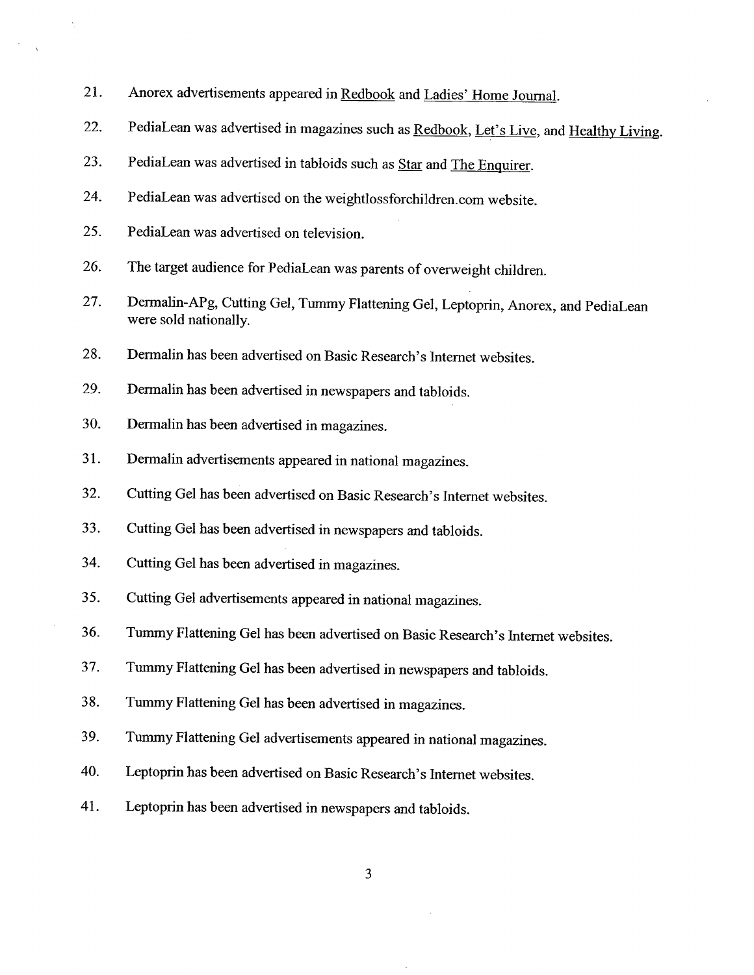- 21. Anorex advertisements appeared in Redbook and Ladies' Home Journal.
- 22. PediaLean was advertised in magazines such as Redbook, Let's Live, and Healthy Living.
- 23. PediaLean was advertised in tabloids such as Star and The Enquirer.
- 24. PediaLean was advertised on the weightlossforchildren.com website.
- 25. PediaLean was advertised on television.
- 26. The target audience for PediaLean was parents of overweight children.
- 27. Dermalin-APg, Cutting Gel, Tummy Flattening Gel, Leptoprin, Anorex, and PediaLean were sold nationally.
- 28. Dermalin has been advertised on Basic Research's Internet websites.
- 29. Dermalin has been advertised in newspapers and tabloids.
- 30. Dermalin has been advertised in magazines.
- 31. Dermalin advertisements appeared in national magazines.
- 32. Cutting Gel has been advertised on Basic Research's Internet websites.
- 33. Cutting Gel has been advertised in newspapers and tabloids.
- 34. Cutting Gel has been advertised in magazines.
- 35. Cutting Gel advertisements appeared in national magazines.
- 36. Tummy Flattening Gel has been advertised on Basic Research's Internet websites.
- 37. Tumy Flattening Gel has been advertised in newspapers and tabloids.
- 38. Tummy Flattening Gel has been advertised in magazines.
- 39. Tumy Flattening Gel advertisements appeared in national magazines.
- 40. Leptoprin has been advertised on Basic Research's Internet websites.
- 41. Leptoprin has been advertised in newspapers and tabloids.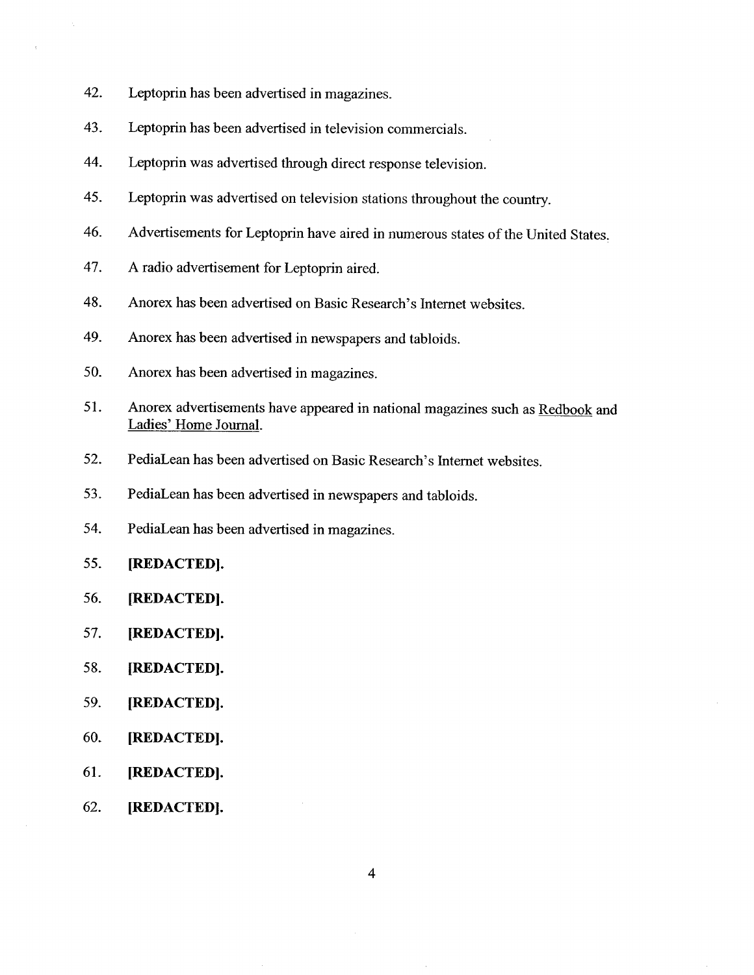- 42. Leptoprin has been adverised in magazines.
- 43. Leptoprin has been advertised in television commercials.
- 44. Leptoprin was advertised through direct response television.
- 45. Leptoprin was advertised on television stations throughout the country.
- 46. Advertisements for Leptoprin have aired in numerous states of the United States,
- 47. A radio advertisement for Leptoprin aired.
- 48. Anorex has been advertised on Basic Research's Internet websites.
- 49. Anorex has been advertised in newspapers and tabloids.
- 50. Anorex has been advertised in magazines.
- 51. Anorex advertisements have appeared in national magazines such as Redbook and Ladies' Home Journal.
- 52. PediaLean has been advertised on Basic Research's Internet websites.
- 53. PediaLean has been advertised in newspapers and tabloids.
- 54. PediaLean has been advertised in magazines.
- 55. (REDACTED).
- 56. (REDACTED).
- 57. (REDACTED).
- 58. (REDACTED).
- 59. (REDACTED).
- 60. (REDACTED).
- 61. (REDACTED).
- 62. (REDACTED).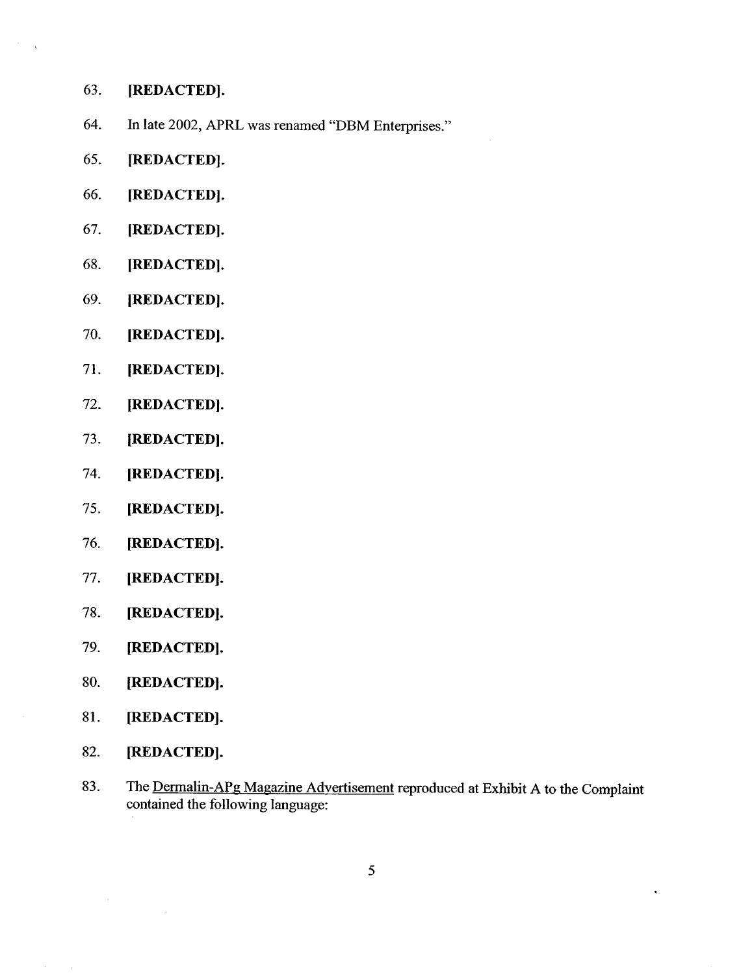- 63. (REDACTED).
- 64. In late 2002, APRL was renamed "DBM Enterprises."
- 65. (REDACTED).
- 66. (REDACTED).
- 67. (REDACTED).
- 68. (REDACTED).
- 69. (REDACTED).
- 70. (REDACTED).
- 71. (REDACTED).
- 72. (REDACTED).
- 73. (REDACTED).
- 74. (REDACTED).
- 75. (REDACTED).
- 76. (REDACTED).
- 77. (REDACTED).
- 78. (REDACTEDl.
- 79. (REDACTED).
- 80. (REDACTED).
- 81. (REDACTED).
- 82. (REDACTED).
- 83. The Dermalin-APg Magazine Advertisement reproduced at Exhibit A to the Complaint contained the following language: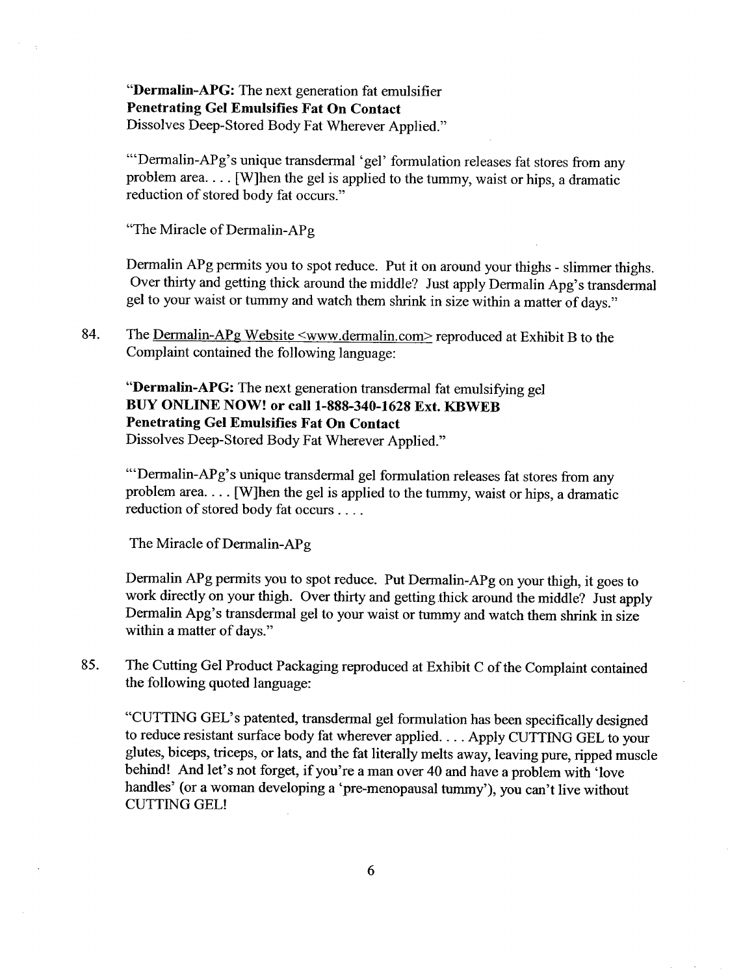"Dermalin-APG: The next generation fat emulsifier Penetrating Gel Emulsifies Fat On Contact Dissolves Deep-Stored Body Fat Wherever Applied."

'''Dermalin-APg's unique transdermal 'gel' formulation releases fat stores from any problem area. . . . (W)hen the gel is applied to the tummy, waist or hips, a dramatic reduction of stored body fat occurs."

"The Miracle of Dermalin-APg

Dermalin APg permits you to spot reduce. Put it on around your thighs - slimmer thighs. Over thirty and getting thick around the middle? Just apply Dermalin Apg's transdermal gel to your waist or tummy and watch them shrink in size within a matter of days."

84. The Dermalin-APg Website  $\leq$ www.dermalin.com>reproduced at Exhibit B to the Complaint contained the following language:

"Dermalin-APG: The next generation transdermal fat emulsifying gel BUY ONLINE NOW! or call 1-888-340-1628 Ext. KBWEB Penetrating Gel Emulsifies Fat On Contact Dissolves Deep-Stored Body Fat Wherever Applied."

'''Dermalin-APg's unique transdermal gel formulation releases fat stores from any problem area. . . . (W)hen the gel is applied to the tummy, waist or hips, a dramatic reduction of stored body fat occurs. . . .

The Miracle of Dermalin-APg

Dermalin APg permits you to spot reduce. Put Dermalin-APg on your thigh, it goes to work directly on your thigh. Over thirty and getting thick around the middle? Just apply Dermalin Apg's transdermal gel to your waist or tummy and watch them shrink in size within a matter of days."

85. The Cutting Gel Product Packaging reproduced at Exhibit C of the Complaint contained the following quoted language:

"CUTTING GEL's patented, transdermal gel formulation has been specifically designed to reduce resistant surface body fat wherever applied. . . . Apply CUTTING GEL to your glutes, biceps, triceps, or lats, and the fat literally melts away, leaving pure, ripped muscle behind! And let's not forget, if you're a man over 40 and have a problem with 'love handles' (or a woman developing a 'pre-menopausal tummy'), you can't live without CUTTING GEL!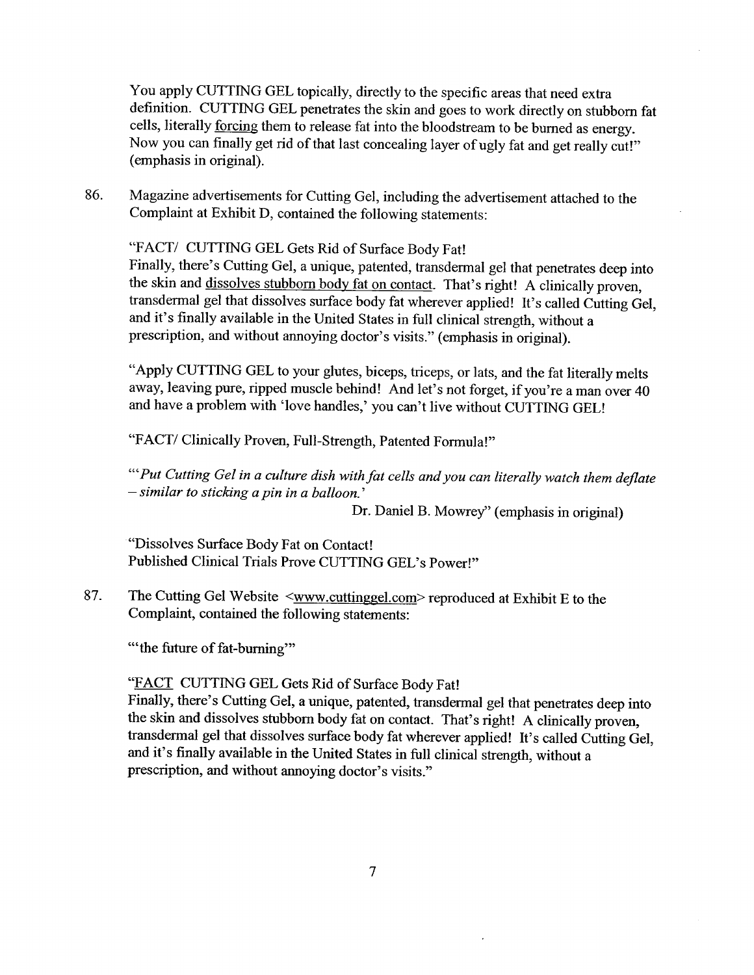You apply CUTTING GEL topically, directly to the specific areas that need extra definition. CUTTING GEL penetrates the skin and goes to work directly on stubborn fat cells, literally forcing them to release fat into the bloodstream to be burned as energy. Now you can finally get rid of that last concealing layer of ugly fat and get really cut!" (emphasis in original).

86. Magazine advertisements for Cutting Gel, including the adverisement attached to the Complaint at Exhibit D, contained the following statements:

"FACT/ CUTTING GEL Gets Rid of Surface Body Fat! Finally, there's Cutting Gel, a unique, patented, transdermal gel that penetrates deep into the skin and dissolves stubborn body fat on contact. That's right! A clinically proven, transdermal gel that dissolves surface body fat wherever applied! It's called Cutting Gel, and it's finally available in the United States in full clinical strength, without a prescription, and without annoying doctor's visits." (emphasis in original).

"Apply CUTTING GEL to your glutes, biceps, triceps, or lats, and the fat literally melts away, leaving pure, ripped muscle behind! And let's not forget, if you're a man over 40 and have a problem with 'love handles,' you can't live without CUTTING GEL!

"FACT/ Clinically Proven, Full-Strength, Patented Formula!"

'''Put Cutting Gel in a culture dish with fat cells and you can literally watch them deflate - similar to sticking a pin in a balloon.'

Dr. Daniel B. Mowrey" (emphasis in original)

"Dissolves Surface Body Fat on Contact! Published Clinical Trials Prove CUTTING GEL's Power!"

87. The Cutting Gel Website <www.cuttinggel.com>reproduced at Exhibit E to the Complaint, contained the following statements:

"the future of fat-burning"

# "FACT CUTTING GEL Gets Rid of Surface Body Fat!"

Finally, there's Cutting Gel, a unique, patented, transdermal gel that penetrates deep into the skin and dissolves stubborn body fat on contact. That's right! A clinically proven, transdermal gel that dissolves surface body fat wherever applied! It's called Cutting Gel, and it's finally available in the United States in full clinical strength, without a prescription, and without anoying doctor's visits."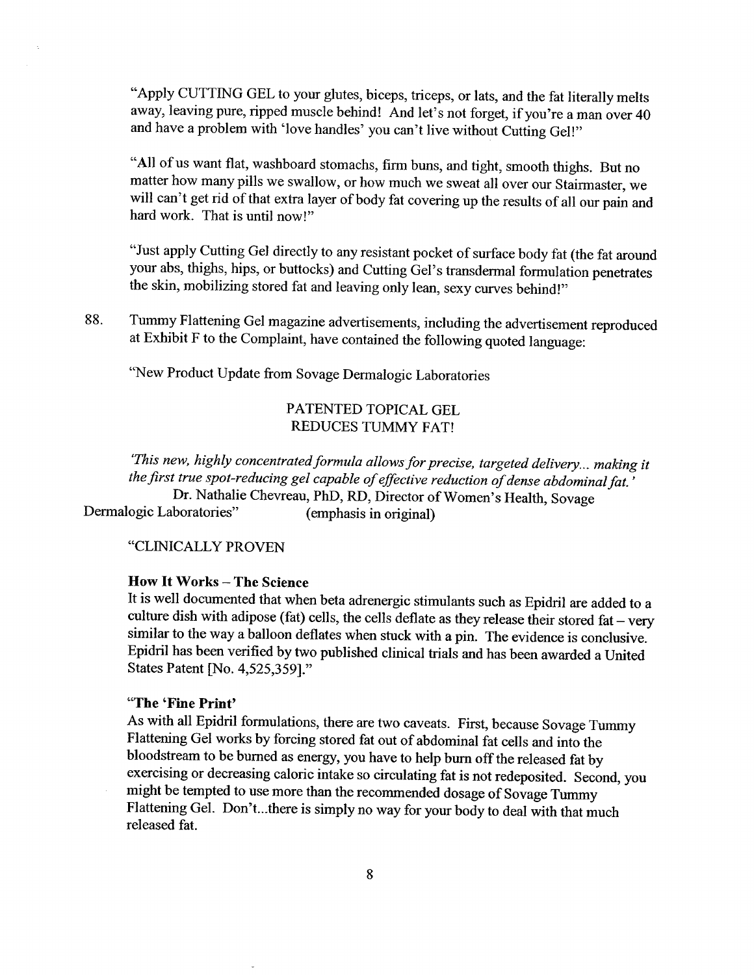"Apply CUTTING GEL to your glutes, biceps, triceps, or lats, and the fat literally melts away, leaving pure, ripped muscle behind! And let's not forget, if you're a man over 40 and have a problem with 'love handles' you can't live without Cutting Gel!"

"All of us want flat, washboard stomachs, firm buns, and tight, smooth thighs. But no matter how many pils we swallow, or how much we sweat all over our Stairmaster, we will can't get rid of that extra layer of body fat covering up the results of all our pain and hard work. That is until now!"

"Just apply Cutting Gel directly to any resistant pocket of surface body fat (the fat around your abs, thighs, hips, or buttocks) and Cutting Gel's transdermal formulation penetrates the skin, mobilizing stored fat and leaving only lean, sexy curves behind!"

"New Product Update from Sovage Dermalogic Laboratories

# PATENTED TOPICAL GEL REDUCES TUMMY FAT!

'This new, highly concentrated formula allows for precise, targeted delivery... making it the first true spot-reducing gel capable of effective reduction of dense abdominal fat. ' Dr. Nathalie Chevreau, PhD, RD, Director of Women's Health, Sovage Dermalogic Laboratories"

"CLINICALLY PROVEN

#### How It Works - The Science

It is well documented that when beta adrenergic stimulants such as Epidril are added to a culture dish with adipose (fat) cells, the cells deflate as they release their stored fat - very similar to the way a balloon deflates when stuck with a pin. The evidence is conclusive. Epidril has been verfied by two published clinical trals and has been awarded a United States Patent (No. 4,525,359)."

# "The 'Fine Print'

As with all Epidril formulations, there are two caveats. First, because Sovage Tummy Flattening Gel works by forcing stored fat out of abdominal fat cells and into the bloodstream to be burned as energy, you have to help bum off the released fat by exercising or decreasing caloric intake so circulating fat is not redeposited. Second, you might be tempted to use more than the recommended dosage of Sovage Tumy Flattening Gel. Don't..there is simply no way for your body to deal with that much released fat.

<sup>88.</sup> Tummy Flattening Gel magazine advertisements, including the adverisement reproduced at Exhibit F to the Complaint, have contained the following quoted language: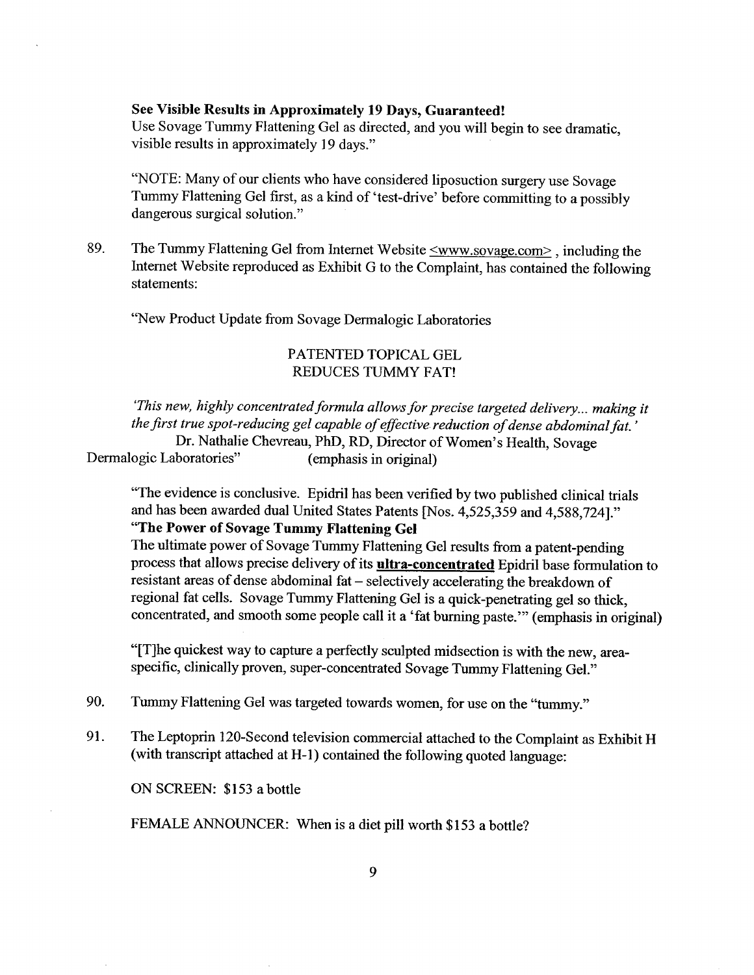### See Visible Results in Approximately 19 Days, Guaranteed!

Use Sovage Tummy Flattening Gel as directed, and you will begin to see dramatic, visible results in approximately 19 days."

"NOTE: Many of our clients who have considered liposuction surgery use Sovage Tummy Flattening Gel first, as a kind of 'test-drive' before committing to a possibly dangerous surgical solution."

89. The Tummy Flattening Gel from Internet Website  $\leq$ www.sovage.com>, including the Internet Website reproduced as Exhibit G to the Complaint, has contained the following statements:

"New Product Update from Sovage Dermalogic Laboratories

### PATENTED TOPICAL GEL REDUCES TUMMY FAT!

'This new, highly concentrated formula allows for precise targeted delivery... making it the first true spot-reducing gel capable of effective reduction of dense abdominal fat. ' Dr. Nathalie Chevreau, PhD, RD, Director of Women's Health, Sovage Dermalogic Laboratories" (emphasis in original)

"The evidence is conclusive. Epidril has been verified by two published clinical trials and has been awarded dual United States Patents (Nos. 4,525,359 and 4,588,724)." "The Power of Sovage Tummy Flattening Gel

The ultimate power of Sovage Tummy Flattening Gel results from a patent-pending process that allows precise delivery of its *ultra-concentrated* Epidril base formulation to resistant areas of dense abdominal fat - selectively accelerating the breakdown of regional fat cells. Sovage Tummy Flattening Gel is a quick-penetrating gel so thick, concentrated, and smooth some people call it a 'fat buring paste.'" (emphasis in original)

"(T)he quickest way to capture a perfectly sculpted midsection is with the new, areaspecific, clinically proven, super-concentrated Sovage Tummy Flattening GeL"

90. Tummy Flattening Gel was targeted towards women, for use on the "tummy."

91. The Leptoprin 120-Second television commercial attached to the Complaint as Exhibit H (with transcript attached at H-1) contained the following quoted language:

ON SCREEN: \$153 a bottle

FEMALE ANNOUNCER: When is a diet pill worth \$153 a bottle?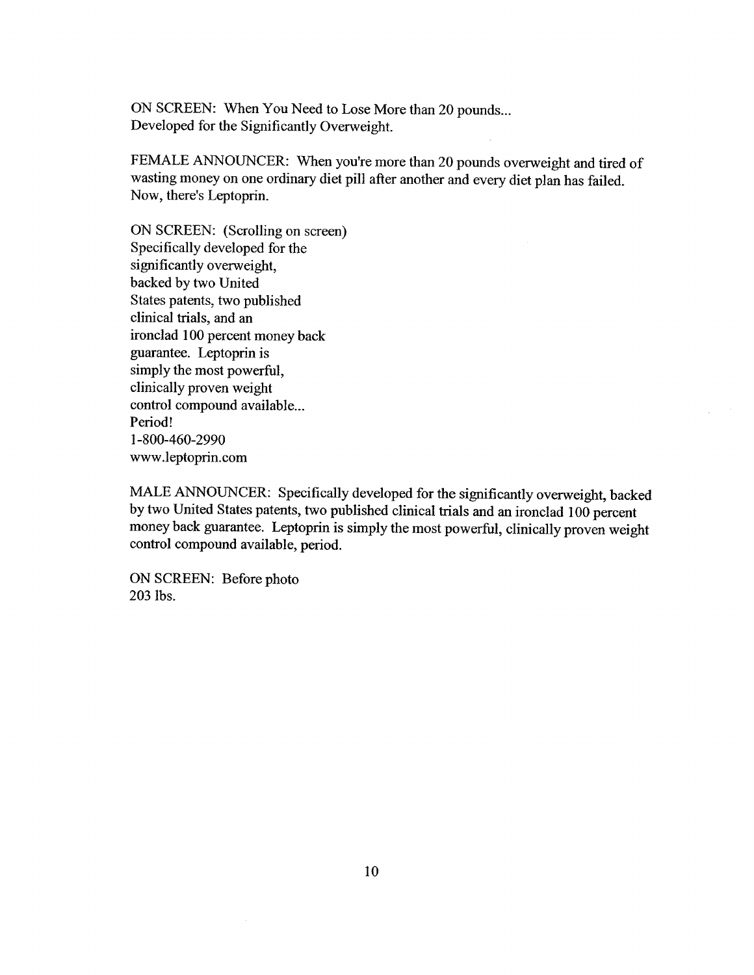ON SCREEN: When You Need to Lose More than 20 pounds... Developed for the Significantly Overweight.

FEMALE ANNOUNCER: When you're more than 20 pounds overweight and tired of wasting money on one ordinary diet pill after another and every diet plan has failed. Now, there's Leptoprin.

ON SCREEN: (Scrolling on screen) Specifically developed for the significantly overweight, backed by two United States patents, two published clinical trials, and an ironclad 100 percent money back guarantee. Leptoprin is simply the most powerful, clinically proven weight control compound available... Period! 1-800-460-2990 ww.leptoprin.com

MALE ANNOUNCER: Specifically developed for the significantly overweight, backed by two United States patents, two published clinical trals and an ironclad 100 percent money back guarantee. Leptoprin is simply the most powerful, clinically proven weight control compound available, period.

ON SCREEN: Before photo 203 lbs.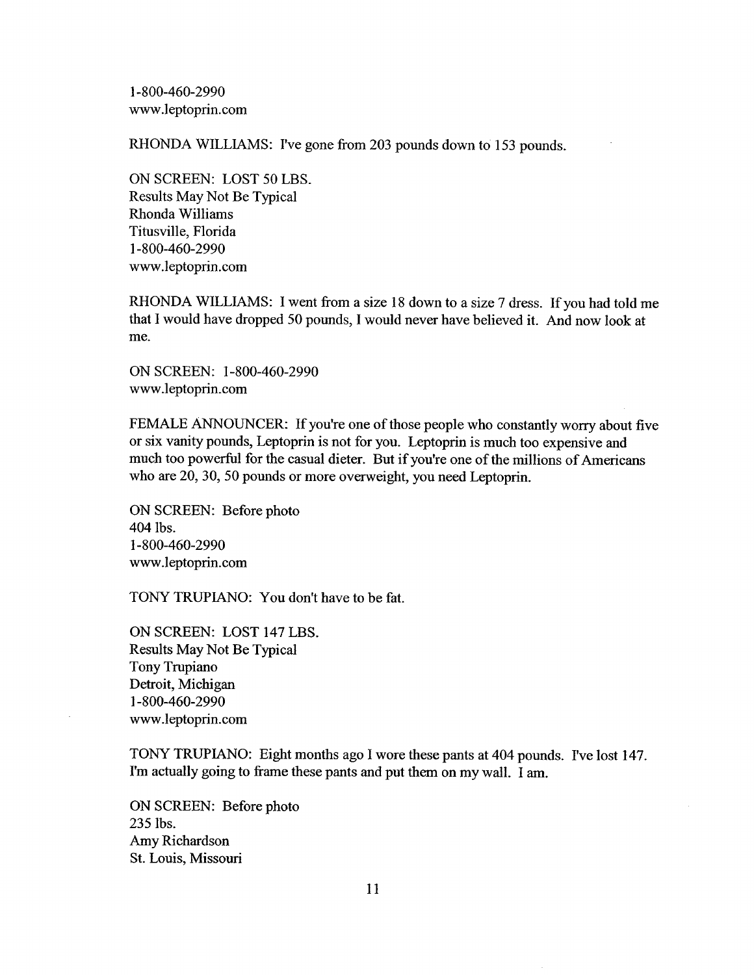1-800-460-2990 ww.leptoprin.com

RHONDA WILLIAMS: I've gone from 203 pounds down to 153 pounds.

ON SCREEN: LOST 50 LBS. Results May Not Be Typical Rhonda Williams Titusville, Florida 1-800-460-2990 www.leptoprin.com

RHONDA WILLIAMS: I went from a size 18 down to a size 7 dress. If you had told me that I would have dropped 50 pounds, I would never have believed it. And now look at me.

ON SCREEN: 1-800-460-2990 www.leptoprin.com

FEMALE ANNOUNCER: If you're one of those people who constantly worry about five or six vanity pounds, Leptoprin is not for you. Leptoprin is much too expensive and much too powerful for the casual dieter. But if you're one of the millions of Americans who are 20, 30, 50 pounds or more overweight, you need Leptoprin.

ON SCREEN: Before photo 404 lbs. 1-800-460-2990 www.leptoprin.com

TONY TRUPIANO: You don't have to be fat.

ON SCREEN: LOST 147 LBS. Results May Not Be Typical Tony Trupiano Detroit, Michigan 1-800-460-2990 ww.leptoprin.com

TONY TRUPIANO: Eight months ago I wore these pants at 404 pounds. I've lost 147. I'm actually going to frame these pants and put them on my walL. I am.

ON SCREEN: Before photo 235 lbs. Amy Richardson St. Louis, Missouri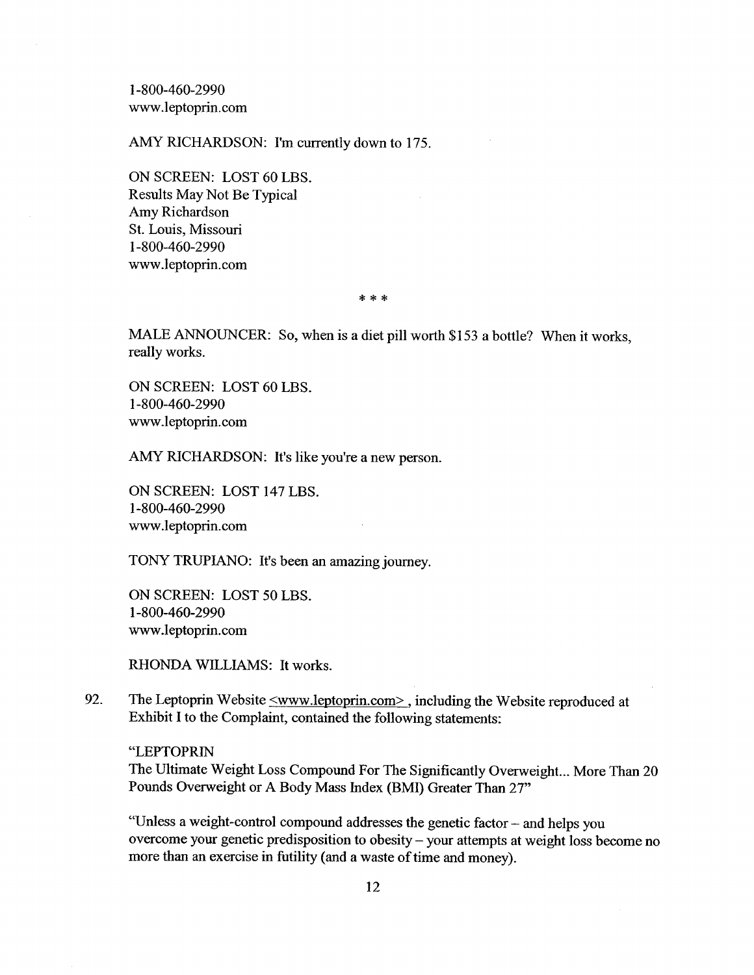1-800-460-2990 ww.leptoprin.com

AMY RICHARDSON: I'm currently down to 175.

ON SCREEN: LOST 60 LBS. Results May Not Be Typical Amy Richardson St. Louis, Missouri 1-800-460-2990 www.leptoprin.com

\* \* \*

MALE ANNOUNCER: So, when is a diet pill worth \$153 a bottle? When it works, really works.

ON SCREEN: LOST 60 LBS. 1-800-460-2990 ww.leptoprin.com

AMY RICHARDSON: It's like you're a new person.

ON SCREEN: LOST 147 LBS. 1-800-460-2990 ww.leptoprin.com

TONY TRUPIANO: It's been an amazing journey.

ON SCREEN: LOST 50 LBS. 1-800-460-2990 ww.leptoprin.com

RHONDA WILLIAMS: It works.

92. The Leptoprin Website  $\leq$ www.leptoprin.com>, including the Website reproduced at Exhibit I to the Complaint, contained the following statements:

"LEPTOPRIN The Ultimate Weight Loss Compound For The Significantly Overweight... More Than 20 Pounds Overweight or A Body Mass Index (BMI) Greater Than 27"

"Unless a weight-control compound addresses the genetic factor - and helps you overcome your genetic predisposition to obesity - your attempts at weight loss become no more than an exercise in futility (and a waste of time and money).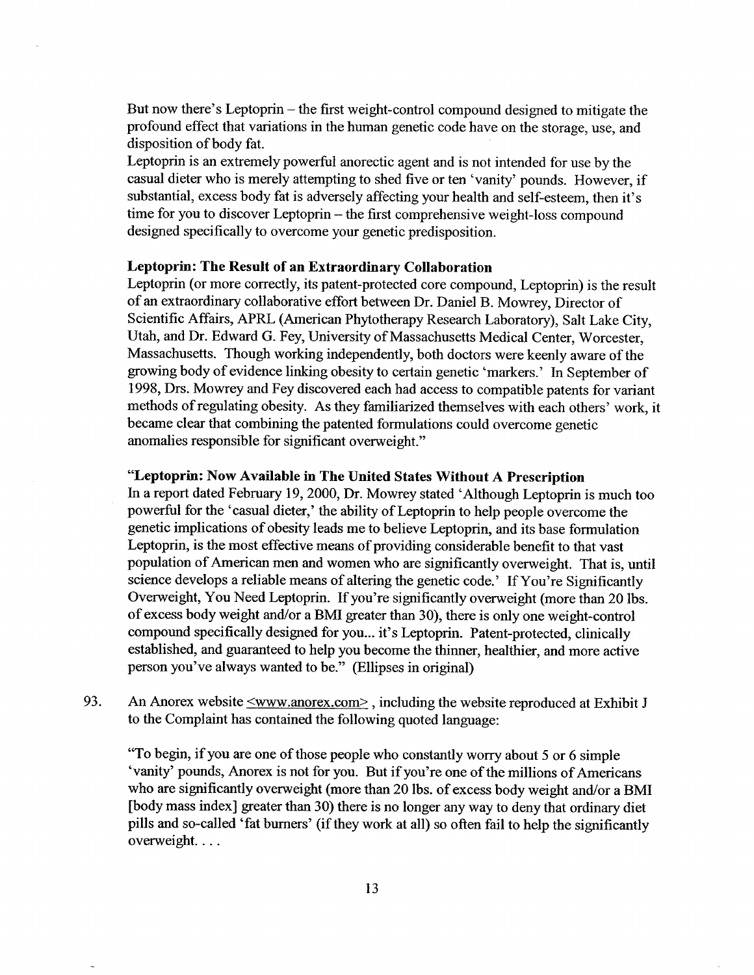But now there's Leptoprin - the first weight-control compound designed to mitigate the profound effect that variations in the human genetic code have on the storage, use, and disposition of body fat.

Leptoprin is an extremely powerful anorectic agent and is not intended for use by the casual dieter who is merely attempting to shed five or ten 'vanity' pounds. However, if substantial, excess body fat is adversely affecting your health and self-esteem, then it's time for you to discover Leptoprin – the first comprehensive weight-loss compound designed specifically to overcome your genetic predisposition.

#### Leptoprin: The Result of an Extraordinary Collaboration

Leptoprin (or more correctly, its patent-protected core compound, Leptoprin) is the result of an extraordinary collaborative effort between Dr. Daniel B. Mowrey, Director of Scientific Affairs, APRL (American Phytotherapy Research Laboratory), Salt Lake City, Utah, and Dr. Edward G. Fey, University of Massachusetts Medical Center, Worcester, Massachusetts. Though working independently, both doctors were keenly aware of the growing body of evidence linking obesity to certain genetic 'markers.' In September of 1998, Drs. Mowrey and Fey discovered each had access to compatible patents for varant methods of regulating obesity. As they familiarized themselves with each others' work, it became clear that combining the patented formulations could overcome genetic anomalies responsible for significant overweight."

### "Leptoprin: Now Available in The United States Without A Prescription

In a report dated February 19, 2000, Dr. Mowrey stated 'Although Leptoprin is much too powerful for the 'casual dieter,' the ability of Leptoprin to help people overcome the genetic implications of obesity leads me to believe Leptoprin, and its base formulation Leptoprin, is the most effective means of providing considerable benefit to that vast population of American men and women who are significantly overweight. That is, until science develops a reliable means of altering the genetic code.' If You're Significantly Overweight, You Need Leptoprin. If you're significantly overweight (more than 20 lbs. of excess body weight and/or a BMI greater than 30), there is only one weight-control compound specifically designed for you.. it's Leptoprin. Patent-protected, clinically established, and guaranteed to help you become the thinner, healthier, and more active person you've always wanted to be." (Ellipses in original)

93. An Anorex website  $\leq$ www.anorex.com $\geq$ , including the website reproduced at Exhibit J to the Complaint has contained the following quoted language:

"To begin, if you are one of those people who constantly worry about 5 or 6 simple 'vanity' pounds, Anorex is not for you. But if you're one of the milions of Americans who are significantly overweight (more than 20 lbs. of excess body weight and/or a BMI [body mass index] greater than 30) there is no longer any way to deny that ordinary diet pills and so-called 'fat burners' (if they work at all) so often fail to help the significantly overweight. . . .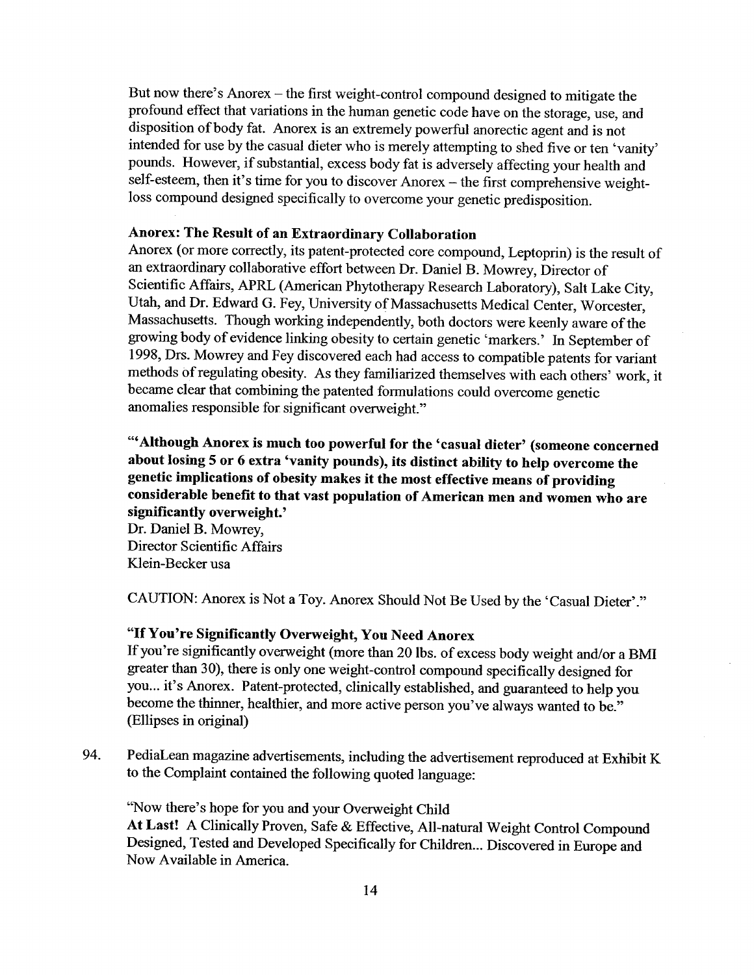But now there's Anorex – the first weight-control compound designed to mitigate the profound effect that variations in the human genetic code have on the storage, use, and disposition of body fat. Anorex is an extremely powerful anorectic agent and is not intended for use by the casual dieter who is merely attempting to shed five or ten 'vanity' pounds. However, if substantial, excess body fat is adversely affecting your health and self-esteem, then it's time for you to discover Anorex - the first comprehensive weightloss compound designed specifically to overcome your genetic predisposition.

# Anorex: The Result of an Extraordinary Collaboration

Anorex (or more correctly, its patent-protected core compound, Leptoprin) is the result of an extraordinary collaborative effort between Dr. Daniel B. Mowrey, Director of Scientific Affairs, APRL (American Phytotherapy Research Laboratory), Salt Lake City, Utah, and Dr. Edward G. Fey, University of Massachusetts Medical Center, Worcester, Massachusetts. Though working independently, both doctors were keenly aware of the growing body of evidence linking obesity to certain genetic 'markers.' In September of 1998, Drs. Mowrey and Fey discovered each had access to compatible patents for variant methods of regulating obesity. As they familiarized themselves with each others' work, it became clear that combining the patented formulations could overcome genetic anomalies responsible for significant overweight."

'" Although Anorex is much too powerful for the 'casual dieter' (someone concerned about losing 5 or 6 extra 'vanity pounds), its distinct abilty to help overcome the genetic implications of obesity makes it the most effective means of providing considerable benefit to that vast population of American men and women who are significantly overweight.'

Dr. Daniel B. Mowrey, Director Scientific Affairs Klein-Becker usa

CAUTION: Anorex is Not a Toy. Anorex Should Not Be Used by the 'Casual Dieter'."

# "If You're Signifcantly Overweight, You Need Anorex

If you're significantly overweight (more than 20 lbs. of excess body weight and/or a BMI greater than 30), there is only one weight-control compound specifically designed for you... it's Anorex. Patent-protected, clinically established, and guaranteed to help you become the thinner, healthier, and more active person you've always wanted to be." (Ellpses in original)

94. PediaLean magazine advertisements, including the advertisement reproduced at Exhibit K to the Complaint contained the following quoted language:

"Now there's hope for you and your Overweight Child At Last! A Clinically Proven, Safe & Effective, All-natural Weight Control Compound Designed, Tested and Developed Specifically for Children... Discovered in Europe and Now Available in America.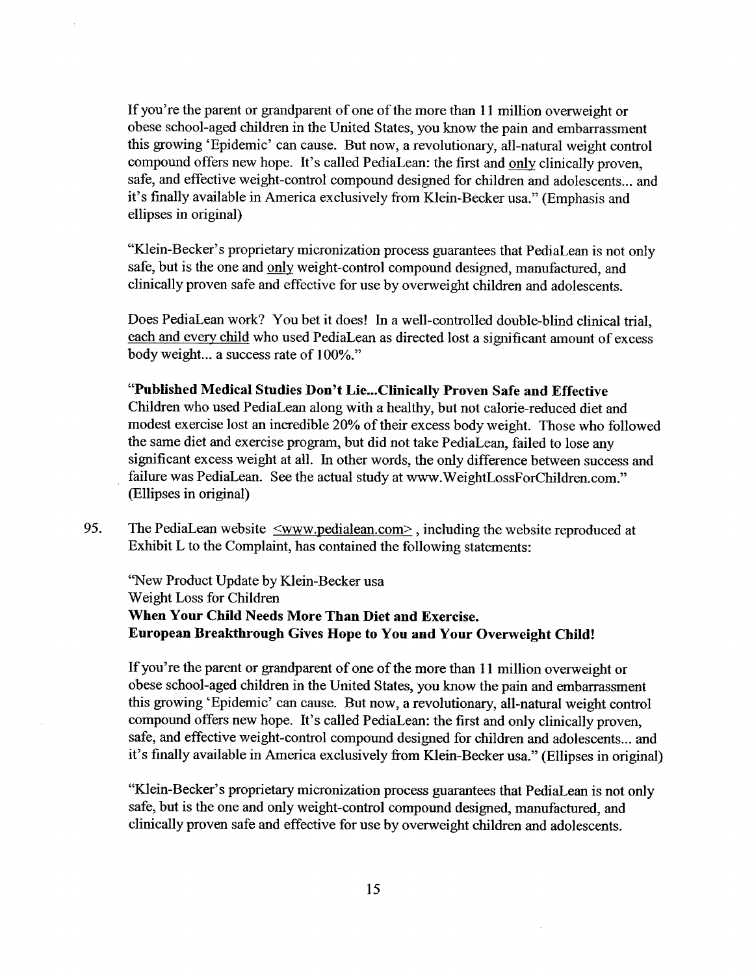If you're the parent or grandparent of one of the more than 11 milion overweight or obese school-aged children in the United States, you know the pain and embarrassment this growing 'Epidemic' can cause. But now, a revolutionary, all-natural weight control compound offers new hope. It's called PediaLean: the first and only clinically proven, safe, and effective weight-control compound designed for children and adolescents... and it's finally available in America exclusively from Klein-Becker usa." (Emphasis and ellipses in original)

"Klein-Becker's proprietary micronization process guarantees that PediaLean is not only safe, but is the one and only weight-control compound designed, manufactured, and clinically proven safe and effective for use by overweight children and adolescents.

Does PediaLean work? You bet it does! In a well-controlled double-blind clinical trial, each and every child who used PediaLean as directed lost a significant amount of excess body weight.. a success rate of 100%."

"Published Medical Studies Don't Lie...Clinically Proven Safe and Effective Children who used PediaLean along with a healthy, but not calorie-reduced diet and modest exercise lost an incredible 20% of their excess body weight. Those who followed the same diet and exercise program, but did not take PediaLean, failed to lose any significant excess weight at all. In other words, the only difference between success and failure was PediaLean. See the actual study at www.WeightLossForChildren.com." (Ellipses in original)

95. The PediaLean website  $\leq$ www.pedialean.com $\geq$ , including the website reproduced at Exhibit L to the Complaint, has contained the following statements:

"New Product Update by Klein-Becker usa Weight Loss for Children When Your Child Needs More Than Diet and Exercise. European Breakthrough Gives Hope to You and Your Overweight Child!

If you're the parent or grandparent of one of the more than 11 million overweight or obese school-aged children in the United States, you know the pain and embarrassment this growing 'Epidemic' can cause. But now, a revolutionary, all-natural weight control compound offers new hope. It's called PediaLean: the first and only clinically proven, safe, and effective weight-control compound designed for children and adolescents... and it's finally available in America exclusively from Klein-Becker usa." (Ellipses in original)

"Klein-Becker's proprietary micronization process guarantees that PediaLean is not only safe, but is the one and only weight-control compound designed, manufactured, and clinically proven safe and effective for use by overweight children and adolescents.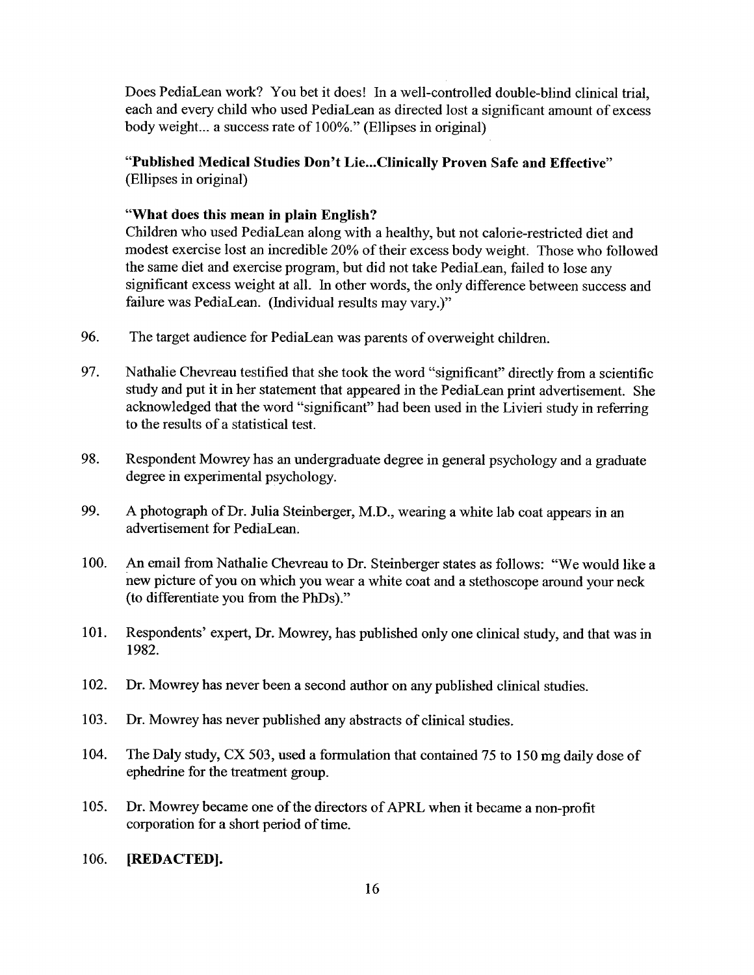Does PediaLean work? You bet it does! In a well-controlled double-blind clinical trial, each and every child who used PediaLean as directed lost a significant amount of excess body weight.. a success rate of 100%." (Ellipses in original)

# "Published Medical Studies Don't Lie...Clinically Proven Safe and Effective" (Ellipses in original)

### "What does this mean in plain English?

Children who used PediaLean along with a healthy, but not calorie-restricted diet and modest exercise lost an incredible 20% of their excess body weight. Those who followed the same diet and exercise program, but did not take PediaLean, failed to lose any significant excess weight at alL. In other words, the only difference between success and failure was PediaLean. (Individual results may vary.)"

- 96. The target audience for PediaLean was parents of overweight children.
- 97. Nathalie Chevreau testified that she took the word "significant" directly from a scientific study and put it in her statement that appeared in the PediaLean print advertisement. She acknowledged that the word "significant" had been used in the Livieri study in referring to the results of a statistical test.
- 98. Respondent Mowrey has an undergraduate degree in general psychology and a graduate degree in experimental psychology.
- 99. A photograph of Dr. Julia Steinberger, M.D., wearing a white lab coat appears in an advertisement for PediaLean.
- 100. An email from Nathalie Chevreau to Dr. Steinberger states as follows: "We would like a new picture of you on which you wear a white coat and a stethoscope around your neck (to differentiate you from the PhDs)."
- 101. Respondents' expert, Dr. Mowrey, has published only one clinical study, and that was in 1982.
- 102. Dr. Mowrey has never been a second author on any published clinical studies.
- 103. Dr. Mowrey has never published any abstracts of clinical studies.
- 104. The Daly study, CX 503, used a formulation that contained 75 to 150 mg daily dose of ephedrine for the treatment group.
- i 05. Dr. Mowrey became one of the directors of APRL when it became a non-profit corporation for a short period of time.
- 106. **[REDACTED].**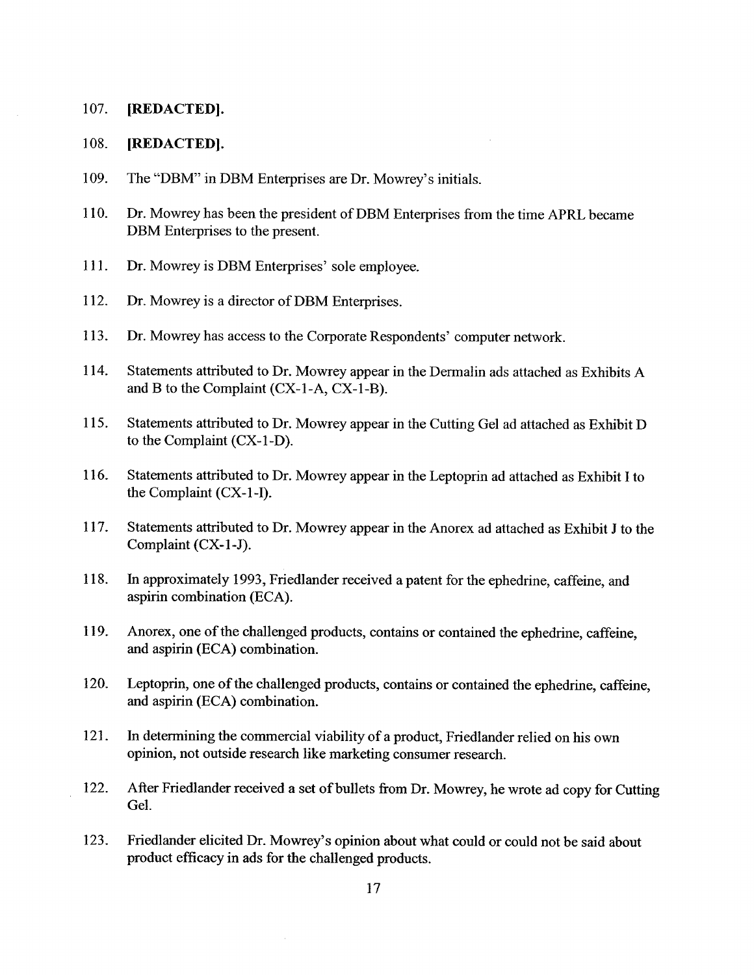#### 107. (REDACTED).

#### 108. (REDACTED).

- 109. The "DBM" in DBM Enterprises are Dr. Mowrey's initials.
- 1 10. Dr. Mowrey has been the president of DBM Enterprises from the time APRL became DBM Enterprises to the present.
- 111. Dr. Mowrey is DBM Enterprises' sole employee.
- 112. Dr. Mowrey is a director of DBM Enterprises.
- 113. Dr. Mowrey has access to the Corporate Respondents' computer network.
- 114. Statements attributed to Dr. Mowrey appear in the Dermalin ads attached as Exhibits A and B to the Complaint (CX-I-A, CX-I-B).
- 115. Statements attributed to Dr. Mowrey appear in the Cutting Gel ad attached as Exhibit D to the Complaint (CX-I-D).
- 116. Statements attributed to Dr. Mowrey appear in the Leptoprin ad attached as Exhibit I to the Complaint (CX-I-I).
- 117. Statements attributed to Dr. Mowrey appear in the Anorex ad attached as Exhibit J to the Complaint (CX-1-J).
- 1 18. In approximately 1993, Friedlander received a patent for the ephedrine, caffeine, and aspirin combination (ECA).
- I 19. Anorex, one of the challenged products, contains or contained the ephedrine, caffeine, and aspirin (ECA) combination.
- 120. Leptoprin, one of the challenged products, contains or contained the ephedrine, caffeine, and aspirin (ECA) combination.
- 121. In determining the commercial viability of a product, Friedlander relied on his own opinion, not outside research like marketing consumer research.
- 122. After Friedlander received a set of bullets from Dr. Mowrey, he wrote ad copy for Cutting Gel.
- 123. Friedlander elicited Dr. Mowrey's opinion about what could or could not be said about product efficacy in ads for the challenged products.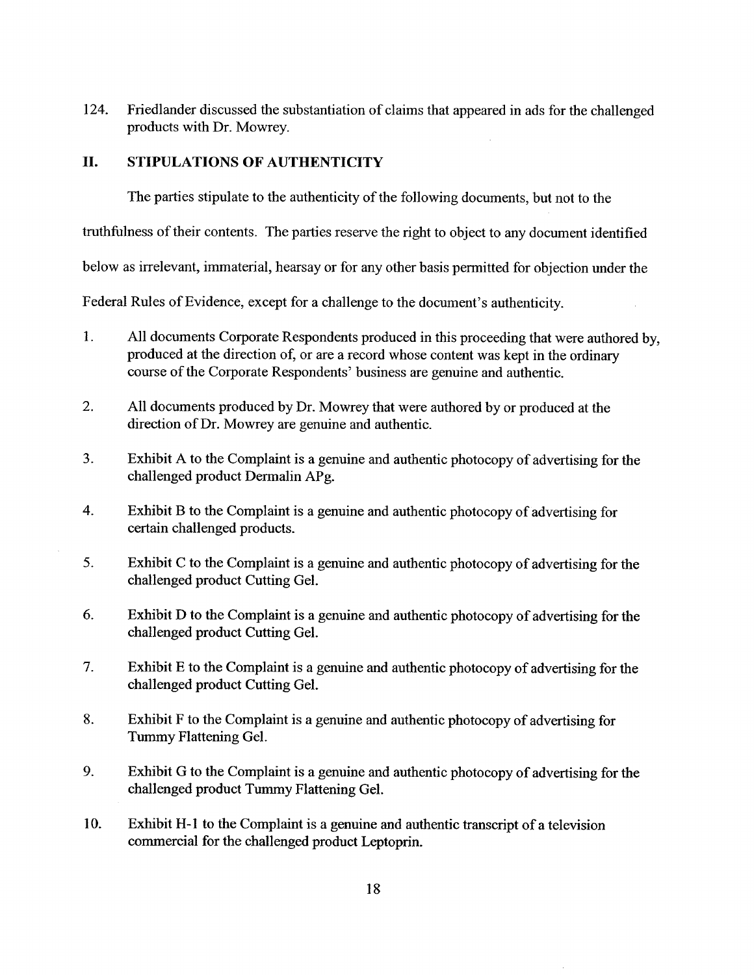124. Friedlander discussed the substantiation of claims that appeared in ads for the challenged products with Dr. Mowrey.

# II. STIPULATIONS OF AUTHENTICITY

The parties stipulate to the authenticity of the following documents, but not to the

truthfulness of their contents. The parties reserve the right to object to any document identified

below as irrelevant, immaterial, hearsay or for any other basis permitted for objection under the

Federal Rules of Evidence, except for a challenge to the document's authenticity.

- 1. All documents Corporate Respondents produced in this proceeding that were authored by, produced at the direction of, or are a record whose content was kept in the ordinary course of the Corporate Respondents' business are genuine and authentic.
- 2. All documents produced by Dr. Mowrey that were authored by or produced at the direction of Dr. Mowrey are genuine and authentic.
- 3. Exhibit A to the Complaint is a genuine and authentic photocopy of advertising for the challenged product Dermalin APg.
- 4. Exhibit B to the Complaint is a genuine and authentic photocopy of advertising for certain challenged products.
- 5. Exhibit C to the Complaint is a genuine and authentic photocopy of advertising for the challenged product Cutting Gel.
- 6. Exhibit D to the Complaint is a genuine and authentic photocopy of advertising for the challenged product Cutting Gel.
- 7. Exhibit E to the Complaint is a genuine and authentic photocopy of advertising for the challenged product Cutting Gel.
- 8. Exhibit F to the Complaint is a genuine and authentic photocopy of advertising for Tummy Flattening Gel.
- 9. Exhibit G to the Complaint is a genuine and authentic photocopy of advertising for the challenged product Tummy Flattening Gel.
- 10. Exhibit H-1 to the Complaint is a genuine and authentic transcript of a television commercial for the challenged product Leptoprin.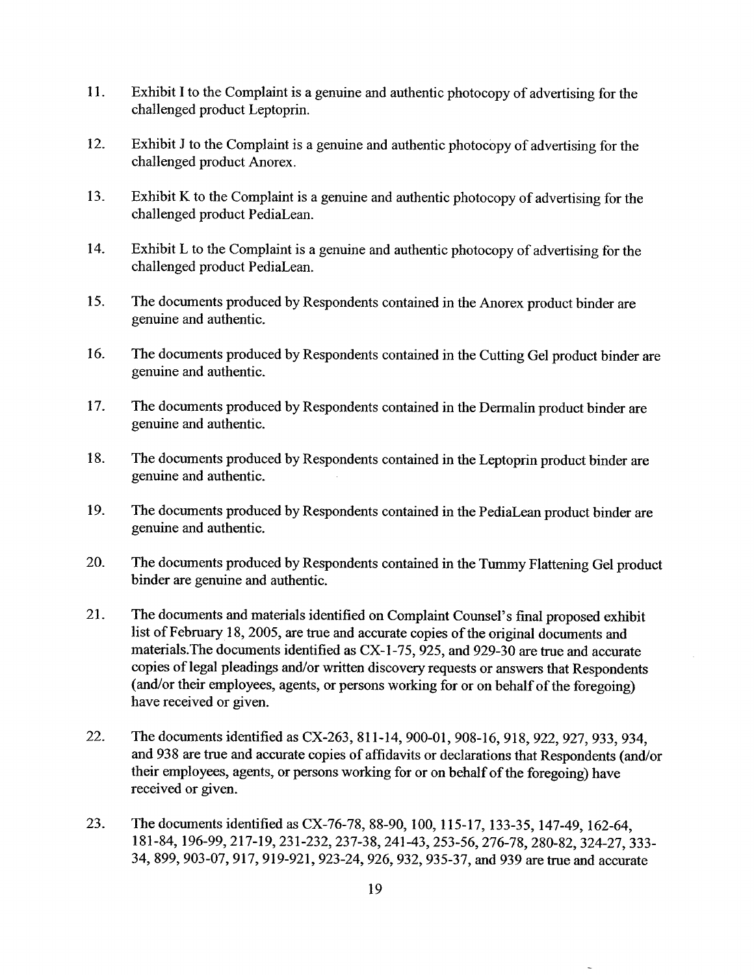- I I. Exhibit I to the Complaint is a genuine and authentic photocopy of advertising for the challenged product Leptoprin.
- 12. Exhibit J to the Complaint is a genuine and authentic photocopy of advertising for the challenged product Anorex.
- 13. Exhibit K to the Complaint is a genuine and authentic photocopy of advertising for the challenged product PediaLean.
- 14. Exhibit L to the Complaint is a genuine and authentic photocopy of advertising for the challenged product PediaLean.
- 15. The documents produced by Respondents contained in the Anorex product binder are genuine and authentic.
- 16. The documents produced by Respondents contained in the Cutting Gel product binder are genuine and authentic.
- 17. The documents produced by Respondents contained in the Dermalin product binder are genuine and authentic.
- 18. The documents produced by Respondents contained in the Leptoprin product binder are genuine and authentic.
- 19. The documents produced by Respondents contained in the PediaLean product binder are genuine and authentic.
- 20. The documents produced by Respondents contained in the Tummy Flattening Gel product binder are genuine and authentic.
- 21. The documents and materals identified on Complaint Counsel's final proposed exhibit list of February 18, 2005, are true and accurate copies of the original documents and materials. The documents identified as CX-1-75, 925, and 929-30 are true and accurate copies of legal pleadings and/or written discovery requests or answers that Respondents (and/or their employees, agents, or persons working for or on behalf of the foregoing) have received or given.
- 22. The documents identified as CX-263, 811-14,900-01,908-16,918,922,927,933,934, and 938 are true and accurate copies of affidavits or declarations that Respondents (and/or their employees, agents, or persons working for or on behalf of the foregoing) have received or given.
- 23. The documents identified as CX-76-78, 88-90, 100, 115-17, 133-35, 147-49, 162-64, 181-84,196-99,217-19,231-232,237-38,241-43, 253-56, 276-78,280-82,324-27,333- 34,899,903-07,917,919-921,923-24,926,932,935-37, and 939 are true and accurate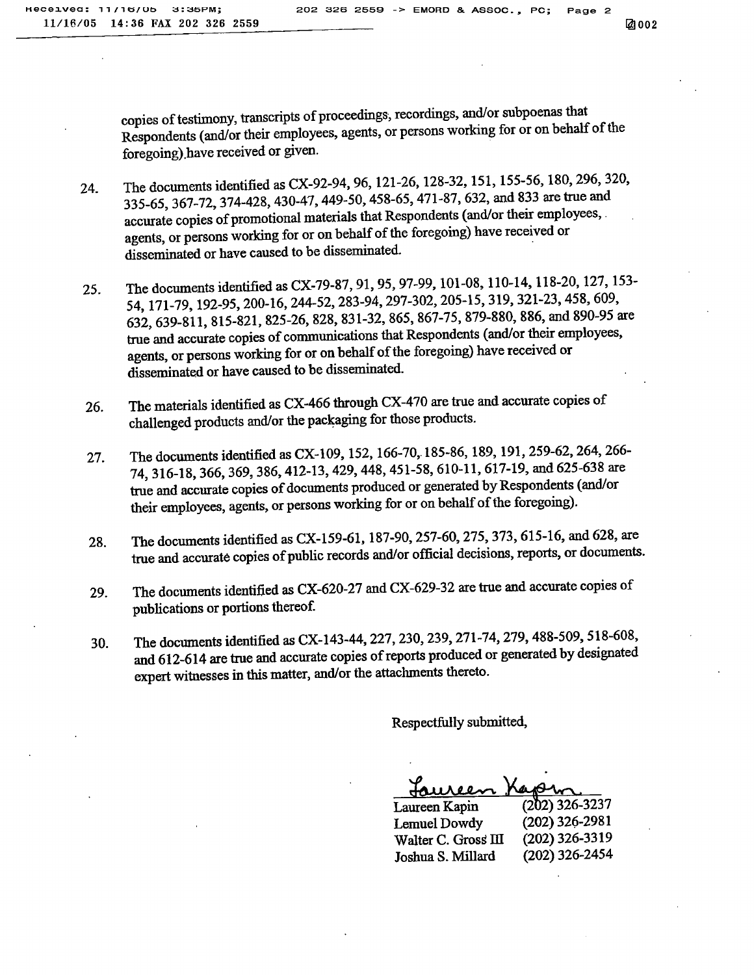copies of testimony, transcripts of proceedings, recordings, and/or subpoenas that Respondents (and/or their employees, agents, or persons working for or on behalf of the foregoing).have received or given.

- 24. The documents identified as CX-92-94, 96, 121-26, 128-32, 151, 155-56, 180,296,320, 335\_65,367-72.374-428.430-47,449-50,458-65, 471-87, 632, and 833 are tre and accurate copies of promotional materials that Respondents (and/or their employees, . agents, or persons working for or on behalf of the foregoing) have received or disseminated or have caused to be disseminated.
- 25. The documents identified as CX-79-87, 91, 95, 97-99, 101-08, 110-14, 118-20, 127, 153-54, 171-79. 192\_95,200-16,244-52,283-94,297-302,205-15, 319, 321-23, 458,609, 632,639\_811,815-821,825-26.828,831-32,865, 867-75, 879-880, 886, and 890-95 are true and accurate copies of communications that Respondents (and/or their employees, agents, or persons working for or on behalf of the foregoing) have received or disseminated or have caused to be disseminated.
- 26. The materials identified as CX-466 through CX-470 are true and accurate copies of challenged products and/or the packaging for those products.
- 27. The documents identified as CX-109, 152, 166-70, 185-86, 189, 191, 259-62, 264, 266-74,316-18,366,369,386,412-13.429,448,451-58, 610-11, 617-19, and 625-638 are true and accurate copies of documents produced or generated by Respondents (and/or their employees, agents, or persons working for or on behalf of the foregoing).
- 28. The documents identified as CX-159-61, 187-90,257-60,275,373,615-16. and 628, are true and accurate copies of public records and/or official decisions, reports, or documents.
- 29. The documents identified as CX-620-27 and CX-629-32 are true and accurate copies of publications or portons thereof.
- 30. The documents identified as CX-143-44, 227, 230,239,271-74,279.488-509,518-608. and 612-614 are true and accurate copies of reports produced or generated by designated expert witnesses in this matter, and/or the attachments thereto.

Respectfuly submitted,

<u>Laureen Kapm</u>

| $(202)$ 326-3237 |
|------------------|
| $(202)$ 326-2981 |
| $(202)$ 326-3319 |
| $(202)$ 326-2454 |
|                  |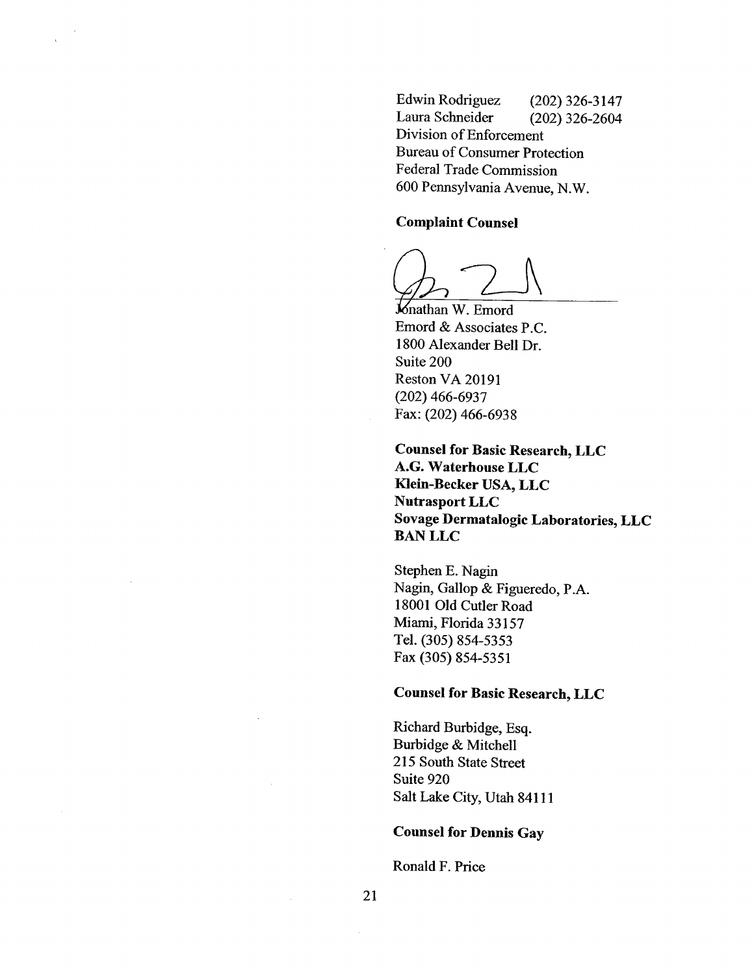Edwin Rodriguez (202) 326-3147 Laura Schneider (202) 326-2604 Division of Enforcement Bureau of Consumer Protection Federal Trade Commission 600 Pennsylvania Avenue, N.W.

#### Complaint Counsel

Knathan W. Emord Emord & Associates P.C. 1800 Alexander Bell Dr. Suite 200 Reston VA 20191 (202) 466-6937 Fax: (202) 466-6938

Counsel for Basic Research, LLC A.G. Waterhouse LLC Klein-Becker USA, LLC Nutrasport LLC Sovage Dermatalogic Laboratories, LLC BAN LLC

Stephen E. Nagi Nagin, Gallop & Figueredo, P.A. 18001 Old Cutler Road Miami, Florida 33 157 TeL. (305) 854-5353 Fax (305) 854-5351

### Counsel for Basic Research, LLC

Richard Burbidge, Esq. Burbidge & Mitchell 215 South State Street Suite 920 Salt Lake City, Utah 84111

#### Counsel for Dennis Gay

Ronald F. Price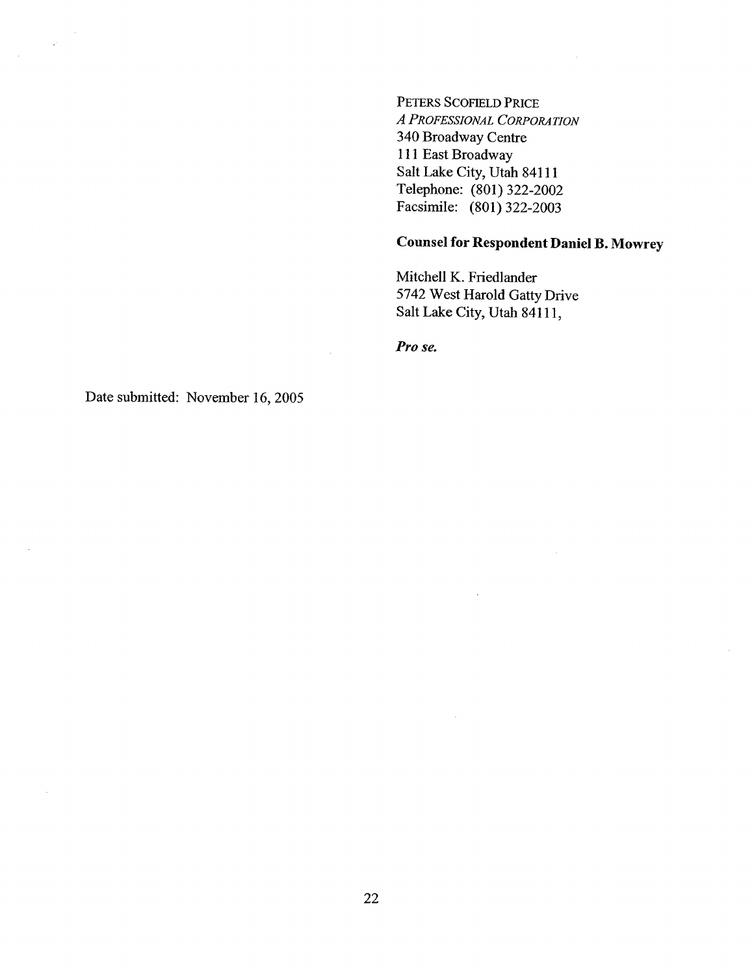PETERS SCOFIELD PRICE A PROFESSIONAL CORPORATION 340 Broadway Centre 111 East Broadway Salt Lake City, Utah 84111 Telephone: (801) 322-2002 Facsimile: (801) 322-2003

# Counsel for Respondent Daniel B. Mowrey

Mitchell K. Friedlander 5742 West Harold Gatty Drive Salt Lake City, Utah 84111,

Pro se.

 $\bar{z}$ 

 $\mathbb{R}^2$ 

Date submitted: November 16, 2005

 $\sim \rho^2$ 

 $\bar{z}$ 

 $\sim$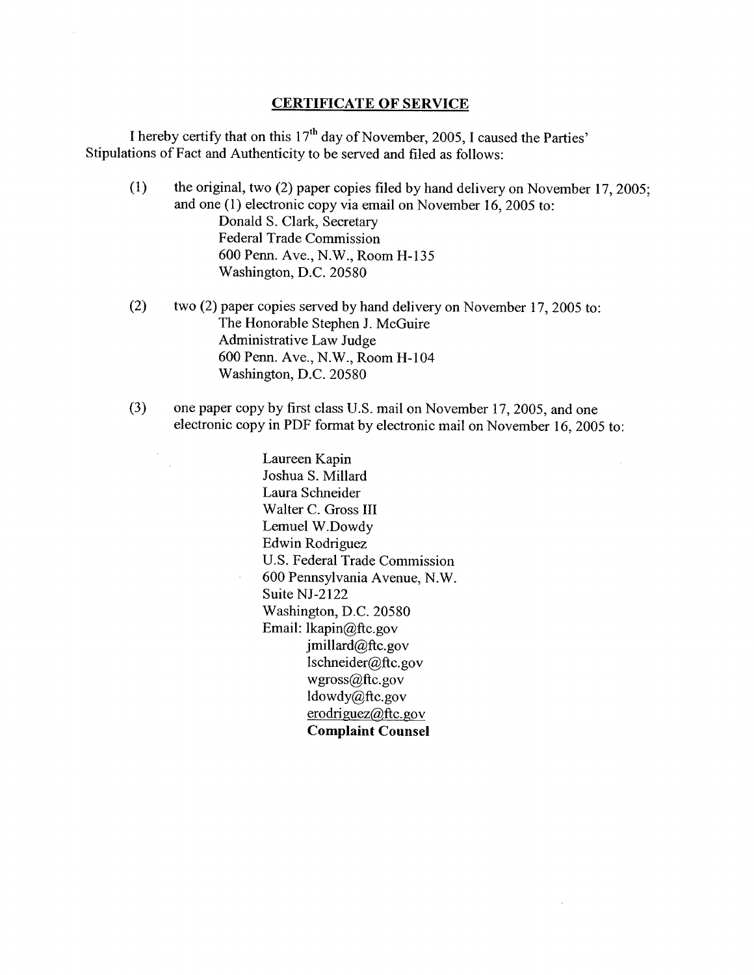#### CERTIFICATE OF SERVICE

I hereby certify that on this  $17<sup>th</sup>$  day of November, 2005, I caused the Parties' Stipulations of Fact and Authenticity to be served and filed as follows:

- (1) the original, two (2) paper copies filed by hand delivery on November 17,2005; and one (1) electronic copy via email on November 16, 2005 to: Donald S. Clark, Secretary Federal Trade Commission 600 Penn. Ave., N.W., Room H-135 Washington, D.C. 20580
- (2) two (2) paper copies served by hand delivery on November 17,2005 to: The Honorable Stephen J. McGuire Administrative Law Judge 600 Penn. Ave., N.W., Room H-I04 Washington, D.C. 20580
- (3) one paper copy by first class U.S. mail on November 17, 2005, and one electronic copy in PDF format by electronic mail on November 16, 2005 to:

Laureen Kapin Joshua S. Millard Laura Schneider Walter C. Gross III Lemuel W.Dowdy Edwin Rodriguez U.S. Federal Trade Commission 600 Pennsylvania Avenue, N.W. Suite NJ-2122 Washington, D.C. 20580 Email: lkapin@ftc.gov  $j$ millard@ftc.gov lschneider@ftc.gov wgross@ftc.gov ldowdy@ftc.gov  $erodriguez@ftc.gov$ Complaint Counsel

 $\sim$